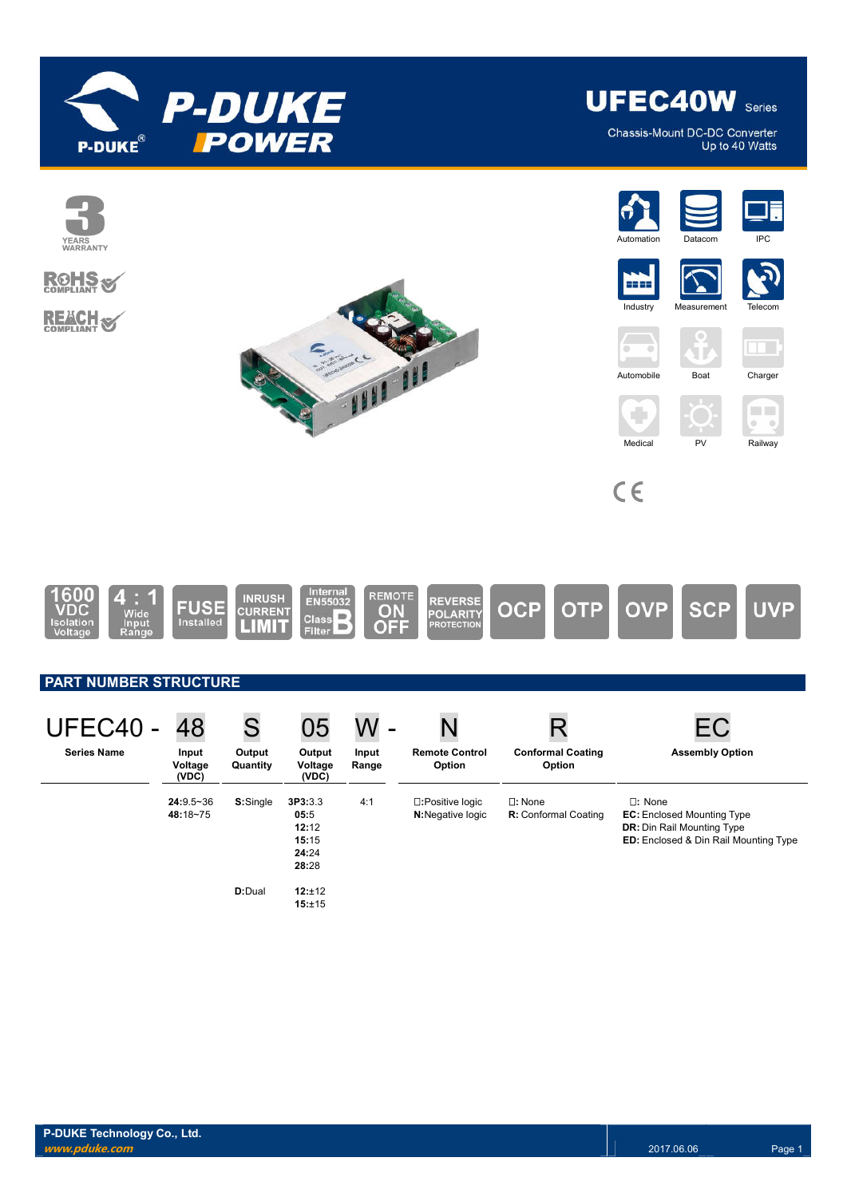

Chassis-Mount DC-DC Converter Up to 40 Watts

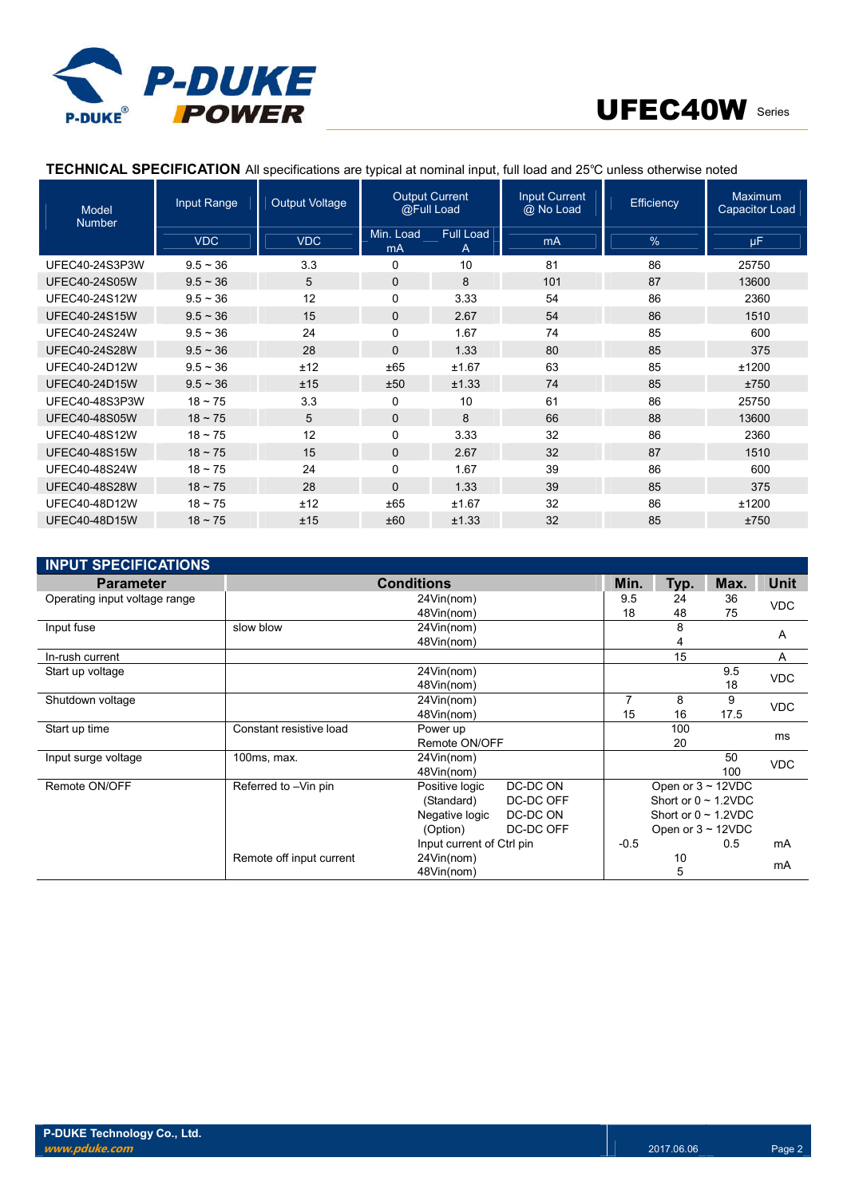

## **TECHNICAL SPECIFICATION** All specifications are typical at nominal input, full load and 25℃ unless otherwise noted

| <b>Model</b><br><b>Number</b> | Input Range   | <b>Output Voltage</b> | <b>Output Current</b><br>@Full Load |                | <b>Input Current</b><br>@ No Load | <b>Efficiency</b> | Maximum<br>Capacitor Load |
|-------------------------------|---------------|-----------------------|-------------------------------------|----------------|-----------------------------------|-------------------|---------------------------|
|                               | <b>VDC</b>    | <b>VDC</b>            | Min. Load<br>mA                     | Full Load<br>A | m <sub>A</sub>                    | $\%$              | μF                        |
| UFEC40-24S3P3W                | $9.5 - 36$    | 3.3                   | 0                                   | 10             | 81                                | 86                | 25750                     |
| <b>UFEC40-24S05W</b>          | $9.5 - 36$    | 5                     | $\mathbf 0$                         | 8              | 101                               | 87                | 13600                     |
| <b>UFEC40-24S12W</b>          | $9.5 - 36$    | 12                    | $\Omega$                            | 3.33           | 54                                | 86                | 2360                      |
| <b>UFEC40-24S15W</b>          | $9.5 - 36$    | 15                    | $\mathbf{0}$                        | 2.67           | 54                                | 86                | 1510                      |
| <b>UFEC40-24S24W</b>          | $9.5 - 36$    | 24                    | $\Omega$                            | 1.67           | 74                                | 85                | 600                       |
| <b>UFEC40-24S28W</b>          | $9.5 \sim 36$ | 28                    | $\Omega$                            | 1.33           | 80                                | 85                | 375                       |
| UFEC40-24D12W                 | $9.5 - 36$    | ±12                   | ±65                                 | ±1.67          | 63                                | 85                | ±1200                     |
| <b>UFEC40-24D15W</b>          | $9.5 - 36$    | ±15                   | ±50                                 | ±1.33          | 74                                | 85                | ±750                      |
| UFEC40-48S3P3W                | $18 \sim 75$  | 3.3                   | 0                                   | 10             | 61                                | 86                | 25750                     |
| <b>UFEC40-48S05W</b>          | $18 \sim 75$  | 5                     | $\mathbf{0}$                        | 8              | 66                                | 88                | 13600                     |
| UFEC40-48S12W                 | $18 - 75$     | 12                    | 0                                   | 3.33           | 32                                | 86                | 2360                      |
| <b>UFEC40-48S15W</b>          | $18 \sim 75$  | 15                    | $\Omega$                            | 2.67           | 32                                | 87                | 1510                      |
| UFEC40-48S24W                 | $18 - 75$     | 24                    | 0                                   | 1.67           | 39                                | 86                | 600                       |
| <b>UFEC40-48S28W</b>          | $18 \sim 75$  | 28                    | $\Omega$                            | 1.33           | 39                                | 85                | 375                       |
| UFEC40-48D12W                 | $18 - 75$     | ±12                   | ±65                                 | ±1.67          | 32                                | 86                | ±1200                     |
| <b>UFEC40-48D15W</b>          | $18 \sim 75$  | ±15                   | ±60                                 | ±1.33          | 32                                | 85                | ±750                      |

| <b>INPUT SPECIFICATIONS</b>   |                          |                           |           |        |                           |            |              |  |
|-------------------------------|--------------------------|---------------------------|-----------|--------|---------------------------|------------|--------------|--|
| <b>Parameter</b>              | <b>Conditions</b>        |                           |           | Min.   | Typ.                      | Max.       | <b>Unit</b>  |  |
| Operating input voltage range | 24Vin(nom)               |                           | 9.5       | 24     | 36                        | <b>VDC</b> |              |  |
|                               |                          | 48Vin(nom)                |           | 18     | 48                        | 75         |              |  |
| Input fuse                    | slow blow<br>24Vin(nom)  |                           |           | 8      |                           | A          |              |  |
|                               |                          | 48Vin(nom)                |           |        | 4                         |            |              |  |
| In-rush current               |                          |                           |           |        | 15                        |            | $\mathsf{A}$ |  |
| Start up voltage              |                          | 24Vin(nom)                |           |        |                           | 9.5        | <b>VDC</b>   |  |
|                               |                          | 48Vin(nom)                |           |        |                           | 18         |              |  |
| Shutdown voltage              |                          | 24Vin(nom)                |           | 7      | 8                         | 9          | <b>VDC</b>   |  |
|                               | 48Vin(nom)               |                           |           | 15     | 16                        | 17.5       |              |  |
| Start up time                 | Constant resistive load  | Power up                  |           |        | 100                       |            | ms           |  |
|                               |                          | Remote ON/OFF             |           |        | 20                        |            |              |  |
| Input surge voltage           | 100ms, max.              | 24Vin(nom)                |           |        |                           | 50         | <b>VDC</b>   |  |
|                               |                          | 48Vin(nom)                |           |        |                           | 100        |              |  |
| Remote ON/OFF                 | Referred to -Vin pin     | Positive logic            | DC-DC ON  |        | Open or $3 \sim 12$ VDC   |            |              |  |
|                               |                          | (Standard)                | DC-DC OFF |        | Short or $0 \sim 1.2$ VDC |            |              |  |
|                               |                          | Negative logic            | DC-DC ON  |        | Short or $0 \sim 1.2$ VDC |            |              |  |
|                               |                          | (Option)                  | DC-DC OFF |        | Open or $3 \sim 12$ VDC   |            |              |  |
|                               |                          | Input current of Ctrl pin |           | $-0.5$ |                           | 0.5        | mA           |  |
|                               | Remote off input current | 24Vin(nom)                |           | 10     |                           |            | mA           |  |
|                               |                          | 48Vin(nom)                |           |        | 5                         |            |              |  |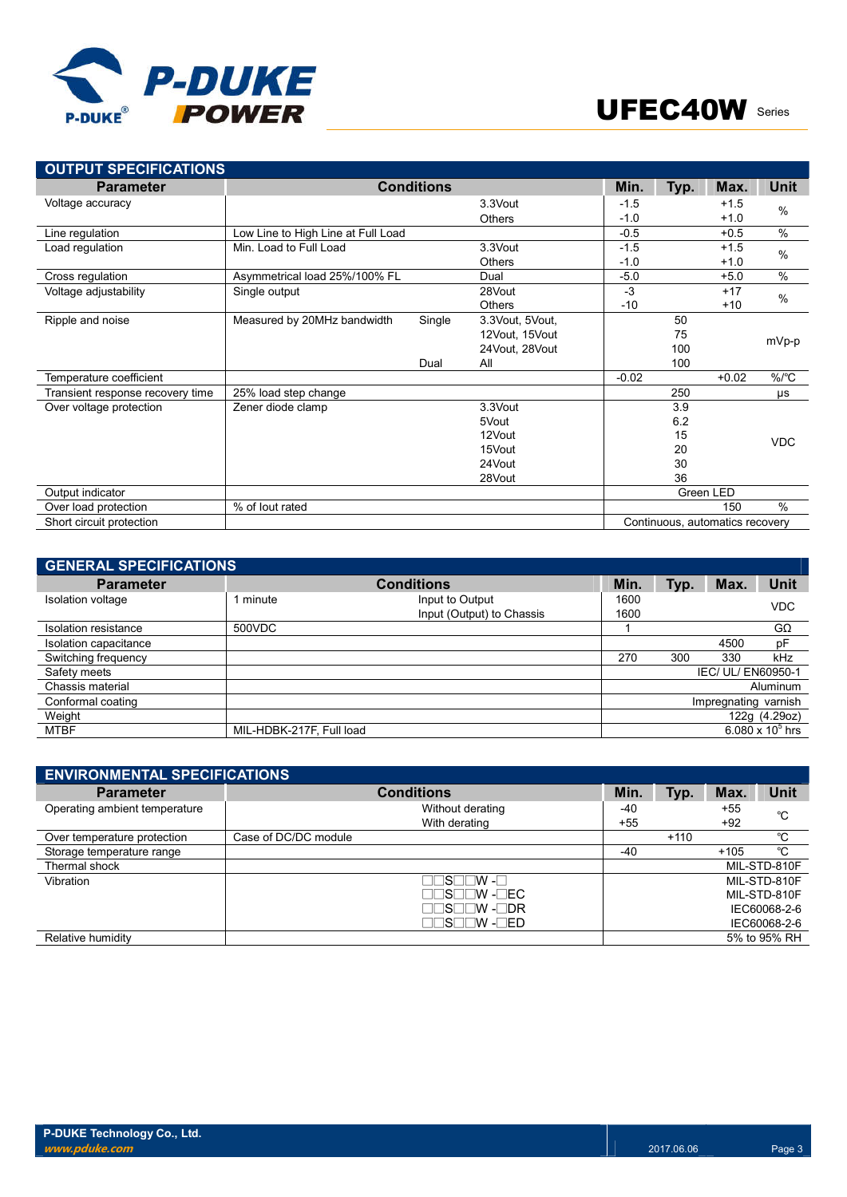



| <b>OUTPUT SPECIFICATIONS</b>     |                                    |                   |                 |         |      |                                 |             |
|----------------------------------|------------------------------------|-------------------|-----------------|---------|------|---------------------------------|-------------|
| <b>Parameter</b>                 |                                    | <b>Conditions</b> |                 | Min.    | Typ. | Max.                            | <b>Unit</b> |
| Voltage accuracy                 |                                    |                   | 3.3Vout         | $-1.5$  |      | $+1.5$                          | $\%$        |
|                                  |                                    |                   | <b>Others</b>   | $-1.0$  |      | $+1.0$                          |             |
| Line regulation                  | Low Line to High Line at Full Load |                   |                 | $-0.5$  |      | $+0.5$                          | $\%$        |
| Load regulation                  | Min. Load to Full Load             |                   | 3.3Vout         | $-1.5$  |      | $+1.5$                          | $\%$        |
|                                  |                                    |                   | Others          | $-1.0$  |      | $+1.0$                          |             |
| Cross regulation                 | Asymmetrical load 25%/100% FL      |                   | Dual            | $-5.0$  |      | $+5.0$                          | $\%$        |
| Voltage adjustability            | Single output                      |                   | 28Vout          | $-3$    |      | $+17$                           | $\%$        |
|                                  |                                    |                   | <b>Others</b>   | $-10$   |      | $+10$                           |             |
| Ripple and noise                 | Measured by 20MHz bandwidth        | Single            | 3.3Vout, 5Vout, |         | 50   |                                 |             |
|                                  |                                    |                   | 12Vout, 15Vout  |         | 75   |                                 | mVp-p       |
|                                  |                                    |                   | 24Vout, 28Vout  |         | 100  |                                 |             |
|                                  |                                    | Dual              | All             |         | 100  |                                 |             |
| Temperature coefficient          |                                    |                   |                 | $-0.02$ |      | $+0.02$                         | $\%$ /°C    |
| Transient response recovery time | 25% load step change               |                   |                 |         | 250  |                                 | μs          |
| Over voltage protection          | Zener diode clamp                  |                   | 3.3Vout         |         | 3.9  |                                 |             |
|                                  |                                    |                   | 5Vout           |         | 6.2  |                                 |             |
|                                  |                                    |                   | 12Vout          |         | 15   |                                 | <b>VDC</b>  |
|                                  |                                    |                   | 15Vout          |         | 20   |                                 |             |
|                                  |                                    |                   | 24Vout          |         | 30   |                                 |             |
|                                  |                                    |                   | 28Vout          |         | 36   |                                 |             |
| Output indicator                 |                                    |                   |                 |         |      | Green LED                       |             |
| Over load protection             | % of lout rated                    |                   |                 |         |      | 150                             | $\%$        |
| Short circuit protection         |                                    |                   |                 |         |      | Continuous, automatics recovery |             |

| <b>GENERAL SPECIFICATIONS</b> |                          |                                              |              |      |                      |                          |
|-------------------------------|--------------------------|----------------------------------------------|--------------|------|----------------------|--------------------------|
| <b>Parameter</b>              |                          | <b>Conditions</b>                            | Min.         | Typ. | Max.                 | <b>Unit</b>              |
| Isolation voltage             | minute                   | Input to Output<br>Input (Output) to Chassis | 1600<br>1600 |      |                      | <b>VDC</b>               |
| Isolation resistance          | 500VDC                   |                                              |              |      |                      | $G\Omega$                |
| Isolation capacitance         |                          |                                              |              |      | 4500                 | pF                       |
| Switching frequency           |                          |                                              | 270          | 300  | 330                  | kHz                      |
| Safety meets                  |                          |                                              |              |      | IEC/ UL/ EN60950-1   |                          |
| Chassis material              |                          |                                              |              |      |                      | Aluminum                 |
| Conformal coating             |                          |                                              |              |      | Impregnating varnish |                          |
| Weight                        |                          |                                              |              |      |                      | 122g (4.29oz)            |
| <b>MTBF</b>                   | MIL-HDBK-217F, Full load |                                              |              |      |                      | 6.080 x $10^{\circ}$ hrs |

| <b>ENVIRONMENTAL SPECIFICATIONS</b> |                      |       |        |        |              |  |
|-------------------------------------|----------------------|-------|--------|--------|--------------|--|
| <b>Parameter</b>                    | <b>Conditions</b>    | Min.  | Typ.   | Max.   | Unit         |  |
| Operating ambient temperature       | Without derating     | -40   |        | +55    | °C           |  |
|                                     | With derating        | $+55$ |        | $+92$  |              |  |
| Over temperature protection         | Case of DC/DC module |       | $+110$ |        | °C           |  |
| Storage temperature range           |                      | -40   |        | $+105$ | °C           |  |
| Thermal shock                       |                      |       |        |        | MIL-STD-810F |  |
| Vibration                           | ר⊢ W הS              |       |        |        | MIL-STD-810F |  |
|                                     | ∏N -∏EC              |       |        |        | MIL-STD-810F |  |
|                                     | ∏N -∏DR              |       |        |        | IEC60068-2-6 |  |
|                                     | コ⊟S⊟⊟W -⊟ED          |       |        |        | IEC60068-2-6 |  |
| Relative humidity                   |                      |       |        |        | 5% to 95% RH |  |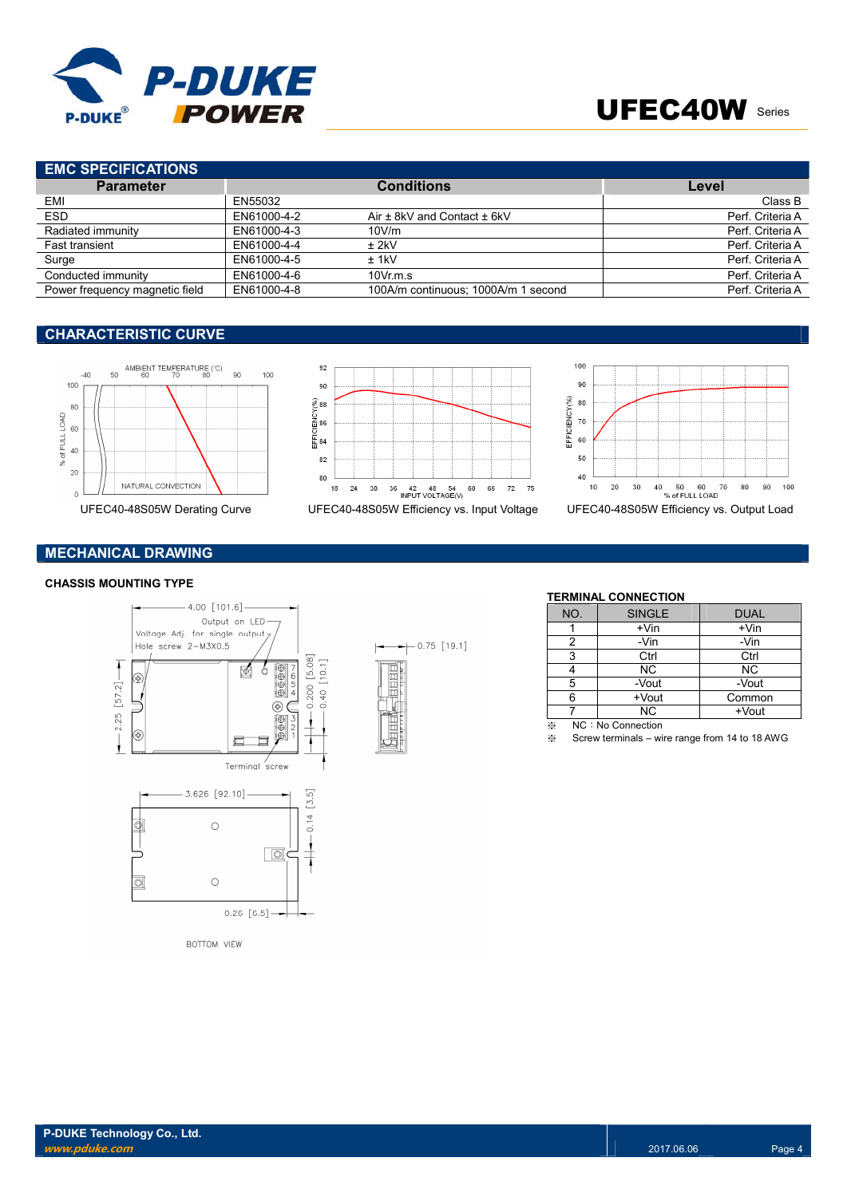

# **EMC SPECIFICATIONS**

| .                              |             |                                     |                  |
|--------------------------------|-------------|-------------------------------------|------------------|
| <b>Parameter</b>               |             | <b>Conditions</b>                   | Level            |
| EMI                            | EN55032     |                                     | Class B          |
| <b>ESD</b>                     | EN61000-4-2 | Air $\pm$ 8kV and Contact $\pm$ 6kV | Perf. Criteria A |
| Radiated immunity              | EN61000-4-3 | 10V/m                               | Perf. Criteria A |
| <b>Fast transient</b>          | EN61000-4-4 | $±$ 2kV                             | Perf. Criteria A |
| Surge                          | EN61000-4-5 | $±$ 1kV                             | Perf. Criteria A |
| Conducted immunity             | EN61000-4-6 | 10Vr.m.s                            | Perf. Criteria A |
| Power frequency magnetic field | EN61000-4-8 | 100A/m continuous: 1000A/m 1 second | Perf. Criteria A |

## **CHARACTERISTIC CURVE**







# **MECHANICAL DRAWING**

### **CHASSIS MOUNTING TYPE**



**BOTTOM VIEW** 



### **TERMINAL CONNECTION**

| NO.                  | <b>SINGLE</b>     | <b>DUAL</b> |
|----------------------|-------------------|-------------|
|                      | $+V$ in           | $+V$ in     |
| 2                    | -Vin              | -Vin        |
| 3                    | Ctrl              | Ctrl        |
|                      | <b>NC</b>         | <b>NC</b>   |
| 5                    | -Vout             | -Vout       |
| 6                    | +Vout             | Common      |
|                      | <b>NC</b>         | +Vout       |
| $\sim$ $\sim$ $\sim$ | $\cdots$ $\cdots$ |             |

 $\frac{1}{2}$  NC : No Connection<br>
≫ Screw terminals – wi

Screw terminals – wire range from 14 to 18 AWG